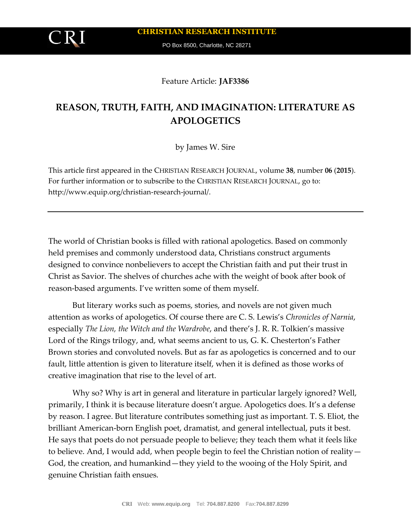PO Box 8500, Charlotte, NC 28271

## Feature Article: **JAF3386**

# **REASON, TRUTH, FAITH, AND IMAGINATION: LITERATURE AS APOLOGETICS**

by James W. Sire

This article first appeared in the CHRISTIAN RESEARCH JOURNAL, volume **38**, number **06** (**2015**). For further information or to subscribe to the CHRISTIAN RESEARCH JOURNAL, go to: http://www.equip.org/christian-research-journal/.

The world of Christian books is filled with rational apologetics. Based on commonly held premises and commonly understood data, Christians construct arguments designed to convince nonbelievers to accept the Christian faith and put their trust in Christ as Savior. The shelves of churches ache with the weight of book after book of reason-based arguments. I've written some of them myself.

But literary works such as poems, stories, and novels are not given much attention as works of apologetics. Of course there are C. S. Lewis's *Chronicles of Narnia*, especially *The Lion, the Witch and the Wardrobe*, and there's J. R. R. Tolkien's massive Lord of the Rings trilogy, and, what seems ancient to us, G. K. Chesterton's Father Brown stories and convoluted novels. But as far as apologetics is concerned and to our fault, little attention is given to literature itself, when it is defined as those works of creative imagination that rise to the level of art.

Why so? Why is art in general and literature in particular largely ignored? Well, primarily, I think it is because literature doesn't argue. Apologetics does. It's a defense by reason. I agree. But literature contributes something just as important. T. S. Eliot, the brilliant American-born English poet, dramatist, and general intellectual, puts it best. He says that poets do not persuade people to believe; they teach them what it feels like to believe. And, I would add, when people begin to feel the Christian notion of reality— God, the creation, and humankind—they yield to the wooing of the Holy Spirit, and genuine Christian faith ensues.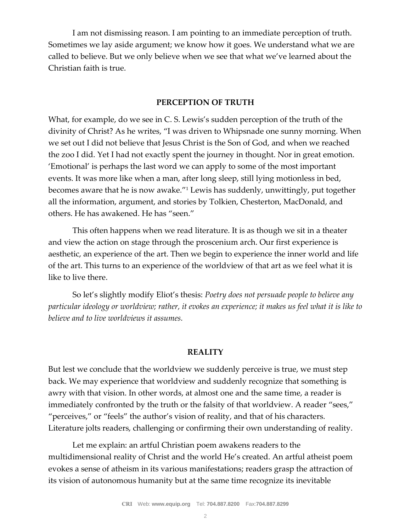I am not dismissing reason. I am pointing to an immediate perception of truth. Sometimes we lay aside argument; we know how it goes. We understand what we are called to believe. But we only believe when we see that what we've learned about the Christian faith is true.

## **PERCEPTION OF TRUTH**

What, for example, do we see in C. S. Lewis's sudden perception of the truth of the divinity of Christ? As he writes, "I was driven to Whipsnade one sunny morning. When we set out I did not believe that Jesus Christ is the Son of God, and when we reached the zoo I did. Yet I had not exactly spent the journey in thought. Nor in great emotion. 'Emotional' is perhaps the last word we can apply to some of the most important events. It was more like when a man, after long sleep, still lying motionless in bed, becomes aware that he is now awake."<sup>1</sup> Lewis has suddenly, unwittingly, put together all the information, argument, and stories by Tolkien, Chesterton, MacDonald, and others. He has awakened. He has "seen."

This often happens when we read literature. It is as though we sit in a theater and view the action on stage through the proscenium arch. Our first experience is aesthetic, an experience of the art. Then we begin to experience the inner world and life of the art. This turns to an experience of the worldview of that art as we feel what it is like to live there.

So let's slightly modify Eliot's thesis: *Poetry does not persuade people to believe any particular ideology or worldview; rather, it evokes an experience; it makes us feel what it is like to believe and to live worldviews it assumes.*

#### **REALITY**

But lest we conclude that the worldview we suddenly perceive is true, we must step back. We may experience that worldview and suddenly recognize that something is awry with that vision. In other words, at almost one and the same time, a reader is immediately confronted by the truth or the falsity of that worldview. A reader "sees," "perceives," or "feels" the author's vision of reality, and that of his characters. Literature jolts readers, challenging or confirming their own understanding of reality.

Let me explain: an artful Christian poem awakens readers to the multidimensional reality of Christ and the world He's created. An artful atheist poem evokes a sense of atheism in its various manifestations; readers grasp the attraction of its vision of autonomous humanity but at the same time recognize its inevitable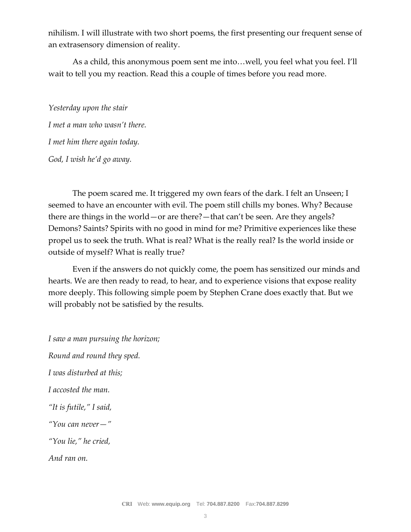nihilism. I will illustrate with two short poems, the first presenting our frequent sense of an extrasensory dimension of reality.

As a child, this anonymous poem sent me into…well, you feel what you feel. I'll wait to tell you my reaction. Read this a couple of times before you read more.

*Yesterday upon the stair I met a man who wasn't there. I met him there again today. God, I wish he'd go away.*

The poem scared me. It triggered my own fears of the dark. I felt an Unseen; I seemed to have an encounter with evil. The poem still chills my bones. Why? Because there are things in the world—or are there?—that can't be seen. Are they angels? Demons? Saints? Spirits with no good in mind for me? Primitive experiences like these propel us to seek the truth. What is real? What is the really real? Is the world inside or outside of myself? What is really true?

Even if the answers do not quickly come, the poem has sensitized our minds and hearts. We are then ready to read, to hear, and to experience visions that expose reality more deeply. This following simple poem by Stephen Crane does exactly that. But we will probably not be satisfied by the results.

*I saw a man pursuing the horizon; Round and round they sped. I was disturbed at this; I accosted the man. "It is futile," I said, "You can never—" "You lie," he cried, And ran on.*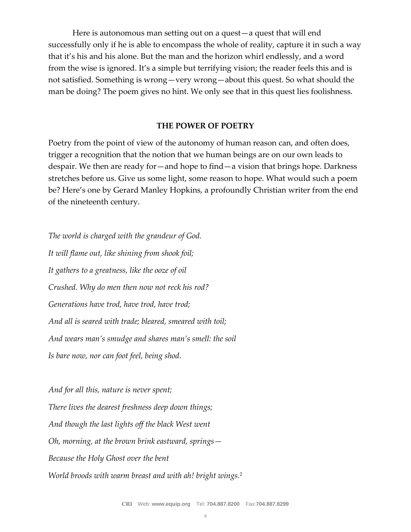Here is autonomous man setting out on a quest—a quest that will end successfully only if he is able to encompass the whole of reality, capture it in such a way that it's his and his alone. But the man and the horizon whirl endlessly, and a word from the wise is ignored. It's a simple but terrifying vision; the reader feels this and is not satisfied. Something is wrong—very wrong—about this quest. So what should the man be doing? The poem gives no hint. We only see that in this quest lies foolishness.

#### **THE POWER OF POETRY**

Poetry from the point of view of the autonomy of human reason can, and often does, trigger a recognition that the notion that we human beings are on our own leads to despair. We then are ready for—and hope to find—a vision that brings hope. Darkness stretches before us. Give us some light, some reason to hope. What would such a poem be? Here's one by Gerard Manley Hopkins, a profoundly Christian writer from the end of the nineteenth century.

*The world is charged with the grandeur of God. It will flame out, like shining from shook foil; It gathers to a greatness, like the ooze of oil Crushed. Why do men then now not reck his rod? Generations have trod, have trod, have trod; And all is seared with trade; bleared, smeared with toil; And wears man's smudge and shares man's smell: the soil Is bare now, nor can foot feel, being shod.*

*And for all this, nature is never spent; There lives the dearest freshness deep down things; And though the last lights off the black West went Oh, morning, at the brown brink eastward, springs— Because the Holy Ghost over the bent World broods with warm breast and with ah! bright wings.*2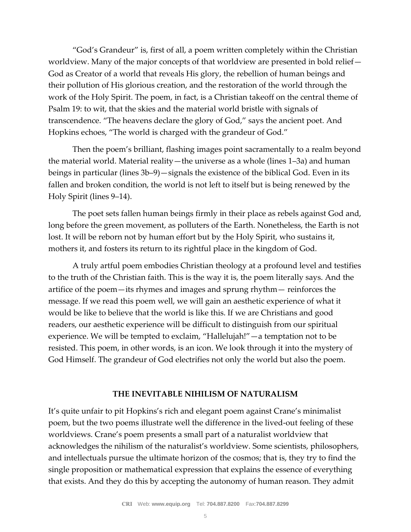"God's Grandeur" is, first of all, a poem written completely within the Christian worldview. Many of the major concepts of that worldview are presented in bold relief— God as Creator of a world that reveals His glory, the rebellion of human beings and their pollution of His glorious creation, and the restoration of the world through the work of the Holy Spirit. The poem, in fact, is a Christian takeoff on the central theme of Psalm 19: to wit, that the skies and the material world bristle with signals of transcendence. "The heavens declare the glory of God," says the ancient poet. And Hopkins echoes, "The world is charged with the grandeur of God."

Then the poem's brilliant, flashing images point sacramentally to a realm beyond the material world. Material reality—the universe as a whole (lines 1–3a) and human beings in particular (lines 3b–9)—signals the existence of the biblical God. Even in its fallen and broken condition, the world is not left to itself but is being renewed by the Holy Spirit (lines 9–14).

The poet sets fallen human beings firmly in their place as rebels against God and, long before the green movement, as polluters of the Earth. Nonetheless, the Earth is not lost. It will be reborn not by human effort but by the Holy Spirit, who sustains it, mothers it, and fosters its return to its rightful place in the kingdom of God.

A truly artful poem embodies Christian theology at a profound level and testifies to the truth of the Christian faith. This is the way it is, the poem literally says. And the artifice of the poem—its rhymes and images and sprung rhythm— reinforces the message. If we read this poem well, we will gain an aesthetic experience of what it would be like to believe that the world is like this. If we are Christians and good readers, our aesthetic experience will be difficult to distinguish from our spiritual experience. We will be tempted to exclaim, "Hallelujah!"—a temptation not to be resisted. This poem, in other words, is an icon. We look through it into the mystery of God Himself. The grandeur of God electrifies not only the world but also the poem.

#### **THE INEVITABLE NIHILISM OF NATURALISM**

It's quite unfair to pit Hopkins's rich and elegant poem against Crane's minimalist poem, but the two poems illustrate well the difference in the lived-out feeling of these worldviews. Crane's poem presents a small part of a naturalist worldview that acknowledges the nihilism of the naturalist's worldview. Some scientists, philosophers, and intellectuals pursue the ultimate horizon of the cosmos; that is, they try to find the single proposition or mathematical expression that explains the essence of everything that exists. And they do this by accepting the autonomy of human reason. They admit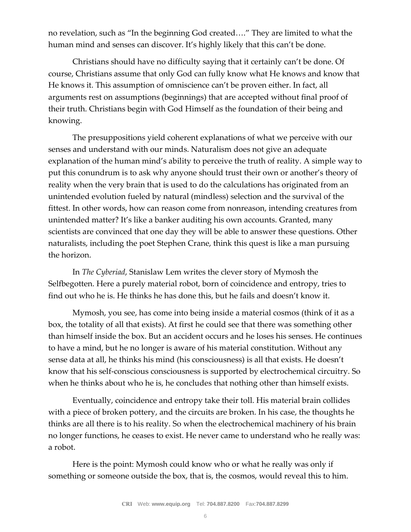no revelation, such as "In the beginning God created…." They are limited to what the human mind and senses can discover. It's highly likely that this can't be done.

Christians should have no difficulty saying that it certainly can't be done. Of course, Christians assume that only God can fully know what He knows and know that He knows it. This assumption of omniscience can't be proven either. In fact, all arguments rest on assumptions (beginnings) that are accepted without final proof of their truth. Christians begin with God Himself as the foundation of their being and knowing.

The presuppositions yield coherent explanations of what we perceive with our senses and understand with our minds. Naturalism does not give an adequate explanation of the human mind's ability to perceive the truth of reality. A simple way to put this conundrum is to ask why anyone should trust their own or another's theory of reality when the very brain that is used to do the calculations has originated from an unintended evolution fueled by natural (mindless) selection and the survival of the fittest. In other words, how can reason come from nonreason, intending creatures from unintended matter? It's like a banker auditing his own accounts. Granted, many scientists are convinced that one day they will be able to answer these questions. Other naturalists, including the poet Stephen Crane, think this quest is like a man pursuing the horizon.

In *The Cyberiad*, Stanislaw Lem writes the clever story of Mymosh the Selfbegotten. Here a purely material robot, born of coincidence and entropy, tries to find out who he is. He thinks he has done this, but he fails and doesn't know it.

Mymosh, you see, has come into being inside a material cosmos (think of it as a box, the totality of all that exists). At first he could see that there was something other than himself inside the box. But an accident occurs and he loses his senses. He continues to have a mind, but he no longer is aware of his material constitution. Without any sense data at all, he thinks his mind (his consciousness) is all that exists. He doesn't know that his self-conscious consciousness is supported by electrochemical circuitry. So when he thinks about who he is, he concludes that nothing other than himself exists.

Eventually, coincidence and entropy take their toll. His material brain collides with a piece of broken pottery, and the circuits are broken. In his case, the thoughts he thinks are all there is to his reality. So when the electrochemical machinery of his brain no longer functions, he ceases to exist. He never came to understand who he really was: a robot.

Here is the point: Mymosh could know who or what he really was only if something or someone outside the box, that is, the cosmos, would reveal this to him.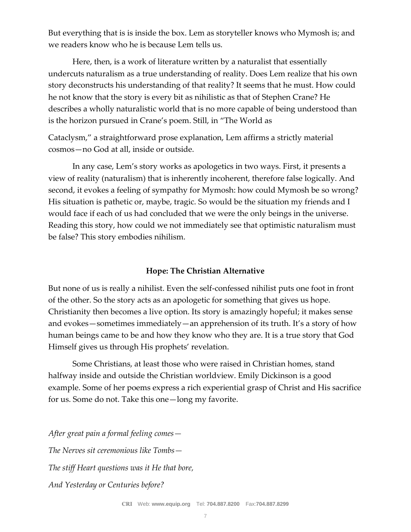But everything that is is inside the box. Lem as storyteller knows who Mymosh is; and we readers know who he is because Lem tells us.

Here, then, is a work of literature written by a naturalist that essentially undercuts naturalism as a true understanding of reality. Does Lem realize that his own story deconstructs his understanding of that reality? It seems that he must. How could he not know that the story is every bit as nihilistic as that of Stephen Crane? He describes a wholly naturalistic world that is no more capable of being understood than is the horizon pursued in Crane's poem. Still, in "The World as

Cataclysm," a straightforward prose explanation, Lem affirms a strictly material cosmos—no God at all, inside or outside.

In any case, Lem's story works as apologetics in two ways. First, it presents a view of reality (naturalism) that is inherently incoherent, therefore false logically. And second, it evokes a feeling of sympathy for Mymosh: how could Mymosh be so wrong? His situation is pathetic or, maybe, tragic. So would be the situation my friends and I would face if each of us had concluded that we were the only beings in the universe. Reading this story, how could we not immediately see that optimistic naturalism must be false? This story embodies nihilism.

# **Hope: The Christian Alternative**

But none of us is really a nihilist. Even the self-confessed nihilist puts one foot in front of the other. So the story acts as an apologetic for something that gives us hope. Christianity then becomes a live option. Its story is amazingly hopeful; it makes sense and evokes—sometimes immediately—an apprehension of its truth. It's a story of how human beings came to be and how they know who they are. It is a true story that God Himself gives us through His prophets' revelation.

Some Christians, at least those who were raised in Christian homes, stand halfway inside and outside the Christian worldview. Emily Dickinson is a good example. Some of her poems express a rich experiential grasp of Christ and His sacrifice for us. Some do not. Take this one—long my favorite.

*After great pain a formal feeling comes— The Nerves sit ceremonious like Tombs— The stiff Heart questions was it He that bore, And Yesterday or Centuries before?*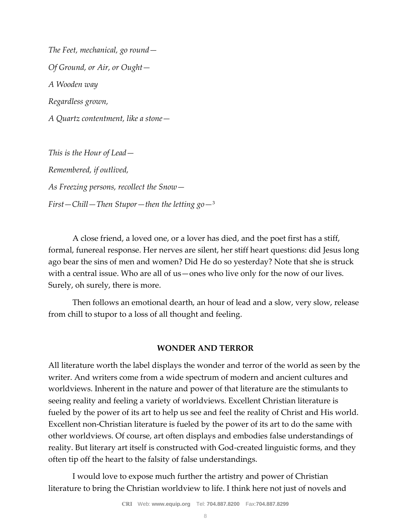*The Feet, mechanical, go round— Of Ground, or Air, or Ought— A Wooden way Regardless grown, A Quartz contentment, like a stone—*

*This is the Hour of Lead— Remembered, if outlived, As Freezing persons, recollect the Snow— First—Chill—Then Stupor—then the letting go—*<sup>3</sup>

A close friend, a loved one, or a lover has died, and the poet first has a stiff, formal, funereal response. Her nerves are silent, her stiff heart questions: did Jesus long ago bear the sins of men and women? Did He do so yesterday? Note that she is struck with a central issue. Who are all of us—ones who live only for the now of our lives. Surely, oh surely, there is more.

Then follows an emotional dearth, an hour of lead and a slow, very slow, release from chill to stupor to a loss of all thought and feeling.

# **WONDER AND TERROR**

All literature worth the label displays the wonder and terror of the world as seen by the writer. And writers come from a wide spectrum of modern and ancient cultures and worldviews. Inherent in the nature and power of that literature are the stimulants to seeing reality and feeling a variety of worldviews. Excellent Christian literature is fueled by the power of its art to help us see and feel the reality of Christ and His world. Excellent non-Christian literature is fueled by the power of its art to do the same with other worldviews. Of course, art often displays and embodies false understandings of reality. But literary art itself is constructed with God-created linguistic forms, and they often tip off the heart to the falsity of false understandings.

I would love to expose much further the artistry and power of Christian literature to bring the Christian worldview to life. I think here not just of novels and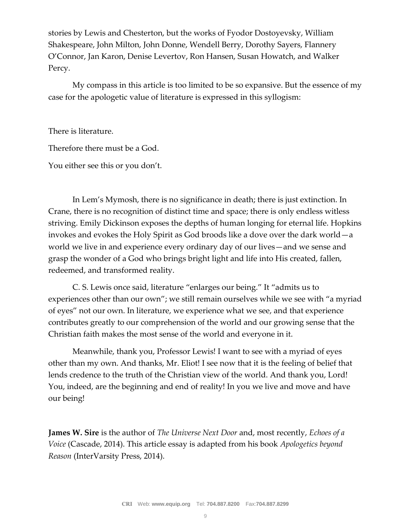stories by Lewis and Chesterton, but the works of Fyodor Dostoyevsky, William Shakespeare, John Milton, John Donne, Wendell Berry, Dorothy Sayers, Flannery O'Connor, Jan Karon, Denise Levertov, Ron Hansen, Susan Howatch, and Walker Percy.

My compass in this article is too limited to be so expansive. But the essence of my case for the apologetic value of literature is expressed in this syllogism:

There is literature.

Therefore there must be a God.

You either see this or you don't.

In Lem's Mymosh, there is no significance in death; there is just extinction. In Crane, there is no recognition of distinct time and space; there is only endless witless striving. Emily Dickinson exposes the depths of human longing for eternal life. Hopkins invokes and evokes the Holy Spirit as God broods like a dove over the dark world—a world we live in and experience every ordinary day of our lives—and we sense and grasp the wonder of a God who brings bright light and life into His created, fallen, redeemed, and transformed reality.

C. S. Lewis once said, literature "enlarges our being." It "admits us to experiences other than our own"; we still remain ourselves while we see with "a myriad of eyes" not our own. In literature, we experience what we see, and that experience contributes greatly to our comprehension of the world and our growing sense that the Christian faith makes the most sense of the world and everyone in it.

Meanwhile, thank you, Professor Lewis! I want to see with a myriad of eyes other than my own. And thanks, Mr. Eliot! I see now that it is the feeling of belief that lends credence to the truth of the Christian view of the world. And thank you, Lord! You, indeed, are the beginning and end of reality! In you we live and move and have our being!

**James W. Sire** is the author of *The Universe Next Door* and, most recently, *Echoes of a Voice* (Cascade, 2014). This article essay is adapted from his book *Apologetics beyond Reason* (InterVarsity Press, 2014).